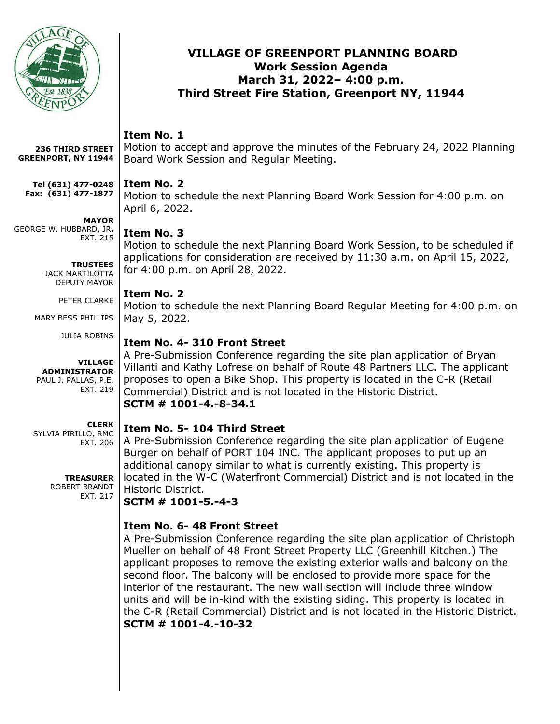

#### **VILLAGE OF GREENPORT PLANNING BOARD Work Session Agenda March 31, 2022– 4:00 p.m. Third Street Fire Station, Greenport NY, 11944**

# **Item No. 1**

Motion to accept and approve the minutes of the February 24, 2022 Planning Board Work Session and Regular Meeting. **236 THIRD STREET GREENPORT, NY 11944**

#### **Item No. 2 Tel (631) 477-0248 Fax: (631) 477-1877**

Motion to schedule the next Planning Board Work Session for 4:00 p.m. on April 6, 2022.

# **Item No. 3**

**MAYOR**

EXT. 215

**TRUSTEES** JACK MARTILOTTA DEPUTY MAYOR PETER CLARKE

GEORGE W. HUBBARD, JR**.**

MARY BESS PHILLIPS

**ADMINISTRATOR** PAUL J. PALLAS, P.E.

SYLVIA PIRILLO, RMC

JULIA ROBINS

**VILLAGE** 

EXT. 219

**CLERK**

EXT. 206

**TREASURER** ROBERT BRANDT EXT. 217 Motion to schedule the next Planning Board Work Session, to be scheduled if applications for consideration are received by 11:30 a.m. on April 15, 2022, for 4:00 p.m. on April 28, 2022.

# **Item No. 2**

Motion to schedule the next Planning Board Regular Meeting for 4:00 p.m. on May 5, 2022.

# **Item No. 4- 310 Front Street**

A Pre-Submission Conference regarding the site plan application of Bryan Villanti and Kathy Lofrese on behalf of Route 48 Partners LLC. The applicant proposes to open a Bike Shop. This property is located in the C-R (Retail Commercial) District and is not located in the Historic District. **SCTM # 1001-4.-8-34.1**

# **Item No. 5- 104 Third Street**

A Pre-Submission Conference regarding the site plan application of Eugene Burger on behalf of PORT 104 INC. The applicant proposes to put up an additional canopy similar to what is currently existing. This property is located in the W-C (Waterfront Commercial) District and is not located in the Historic District.

# **SCTM # 1001-5.-4-3**

# **Item No. 6- 48 Front Street**

A Pre-Submission Conference regarding the site plan application of Christoph Mueller on behalf of 48 Front Street Property LLC (Greenhill Kitchen.) The applicant proposes to remove the existing exterior walls and balcony on the second floor. The balcony will be enclosed to provide more space for the interior of the restaurant. The new wall section will include three window units and will be in-kind with the existing siding. This property is located in the C-R (Retail Commercial) District and is not located in the Historic District. **SCTM # 1001-4.-10-32**